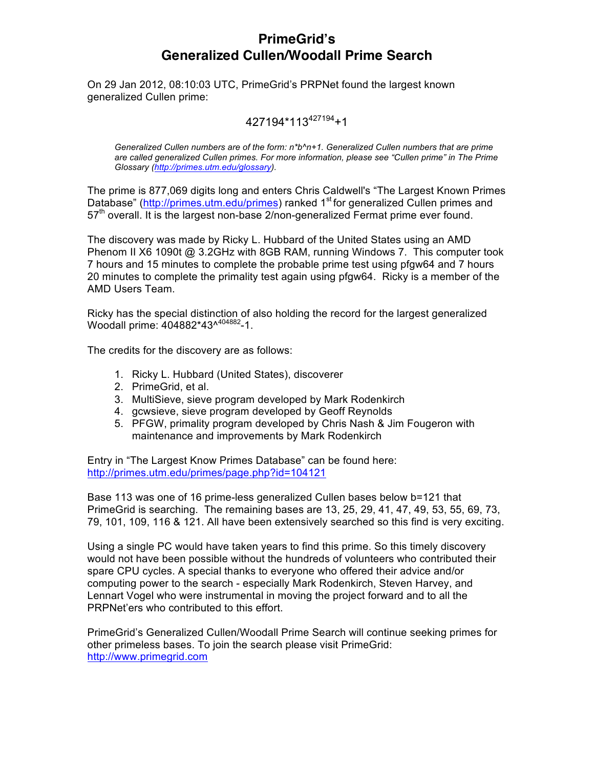# **PrimeGrid's Generalized Cullen/Woodall Prime Search**

On 29 Jan 2012, 08:10:03 UTC, PrimeGrid's PRPNet found the largest known generalized Cullen prime:

## 427194\*113427194+1

*Generalized Cullen numbers are of the form: n\*b^n+1. Generalized Cullen numbers that are prime are called generalized Cullen primes. For more information, please see "Cullen prime" in The Prime Glossary (http://primes.utm.edu/glossary).*

The prime is 877,069 digits long and enters Chris Caldwell's "The Largest Known Primes Database" (http://primes.utm.edu/primes) ranked 1<sup>st</sup> for generalized Cullen primes and 57<sup>th</sup> overall. It is the largest non-base 2/non-generalized Fermat prime ever found.

The discovery was made by Ricky L. Hubbard of the United States using an AMD Phenom II X6 1090t @ 3.2GHz with 8GB RAM, running Windows 7. This computer took 7 hours and 15 minutes to complete the probable prime test using pfgw64 and 7 hours 20 minutes to complete the primality test again using pfgw64. Ricky is a member of the AMD Users Team.

Ricky has the special distinction of also holding the record for the largest generalized Woodall prime: 404882\*43^404882-1.

The credits for the discovery are as follows:

- 1. Ricky L. Hubbard (United States), discoverer
- 2. PrimeGrid, et al.
- 3. MultiSieve, sieve program developed by Mark Rodenkirch
- 4. gcwsieve, sieve program developed by Geoff Reynolds
- 5. PFGW, primality program developed by Chris Nash & Jim Fougeron with maintenance and improvements by Mark Rodenkirch

Entry in "The Largest Know Primes Database" can be found here: http://primes.utm.edu/primes/page.php?id=104121

Base 113 was one of 16 prime-less generalized Cullen bases below b=121 that PrimeGrid is searching. The remaining bases are 13, 25, 29, 41, 47, 49, 53, 55, 69, 73, 79, 101, 109, 116 & 121. All have been extensively searched so this find is very exciting.

Using a single PC would have taken years to find this prime. So this timely discovery would not have been possible without the hundreds of volunteers who contributed their spare CPU cycles. A special thanks to everyone who offered their advice and/or computing power to the search - especially Mark Rodenkirch, Steven Harvey, and Lennart Vogel who were instrumental in moving the project forward and to all the PRPNet'ers who contributed to this effort.

PrimeGrid's Generalized Cullen/Woodall Prime Search will continue seeking primes for other primeless bases. To join the search please visit PrimeGrid: http://www.primegrid.com